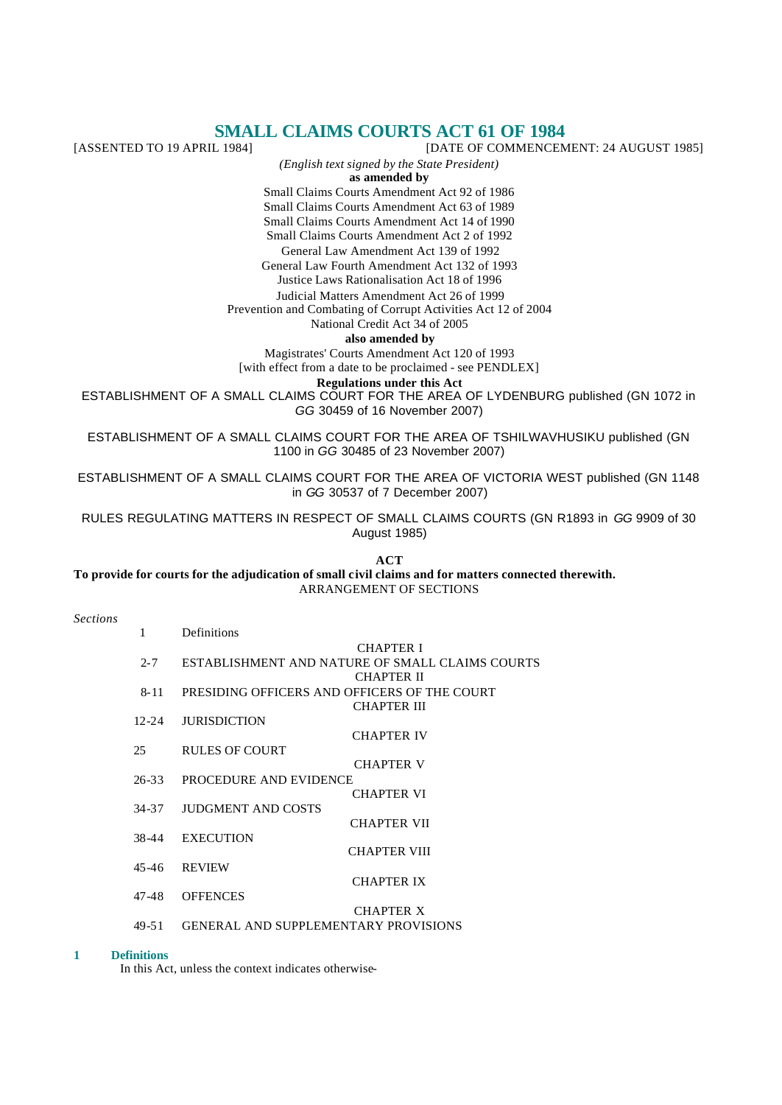# **SMALL CLAIMS COURTS ACT 61 OF 1984**<br>[DATE OF COMMENCENTED TO 19 APRIL 1984]

[DATE OF COMMENCEMENT: 24 AUGUST 1985] *(English text signed by the State President)* **as amended by**

Small Claims Courts Amendment Act 92 of 1986

Small Claims Courts Amendment Act 63 of 1989 Small Claims Courts Amendment Act 14 of 1990

Small Claims Courts Amendment Act 2 of 1992

General Law Amendment Act 139 of 1992

General Law Fourth Amendment Act 132 of 1993

Justice Laws Rationalisation Act 18 of 1996

Judicial Matters Amendment Act 26 of 1999

Prevention and Combating of Corrupt Activities Act 12 of 2004

National Credit Act 34 of 2005

**also amended by**

Magistrates' Courts Amendment Act 120 of 1993

[with effect from a date to be proclaimed - see PENDLEX]

**Regulations under this Act**

ESTABLISHMENT OF A SMALL CLAIMS COURT FOR THE AREA OF LYDENBURG published (GN 1072 in *GG* 30459 of 16 November 2007)

ESTABLISHMENT OF A SMALL CLAIMS COURT FOR THE AREA OF TSHILWAVHUSIKU published (GN 1100 in *GG* 30485 of 23 November 2007)

ESTABLISHMENT OF A SMALL CLAIMS COURT FOR THE AREA OF VICTORIA WEST published (GN 1148 in *GG* 30537 of 7 December 2007)

RULES REGULATING MATTERS IN RESPECT OF SMALL CLAIMS COURTS (GN R1893 in *GG* 9909 of 30 August 1985)

**ACT To provide for courts for the adjudication of small civil claims and for matters connected therewith.** ARRANGEMENT OF SECTIONS

#### *Sections*

| 1         | Definitions                                     |
|-----------|-------------------------------------------------|
|           | <b>CHAPTER I</b>                                |
| $2 - 7$   | ESTABLISHMENT AND NATURE OF SMALL CLAIMS COURTS |
|           | CHAPTER II                                      |
| 8-11      | PRESIDING OFFICERS AND OFFICERS OF THE COURT    |
|           | CHAPTER III                                     |
| $12 - 24$ | <b>JURISDICTION</b>                             |
|           | CHAPTER IV                                      |
| 25        | RULES OF COURT                                  |
|           | <b>CHAPTER V</b>                                |
| $26 - 33$ | PROCEDURE AND EVIDENCE                          |
|           | CHAPTER VI                                      |
| 34-37     | <b>JUDGMENT AND COSTS</b>                       |
|           | <b>CHAPTER VII</b>                              |
| 38-44     | <b>EXECUTION</b><br><b>CHAPTER VIII</b>         |
|           |                                                 |
| 45-46     | <b>REVIEW</b><br>CHAPTER IX                     |
| 47-48     | <b>OFFENCES</b>                                 |
|           | <b>CHAPTER X</b>                                |
|           |                                                 |

49-51 GENERAL AND SUPPLEMENTARY PROVISIONS

#### **1 Definitions**

In this Act, unless the context indicates otherwise-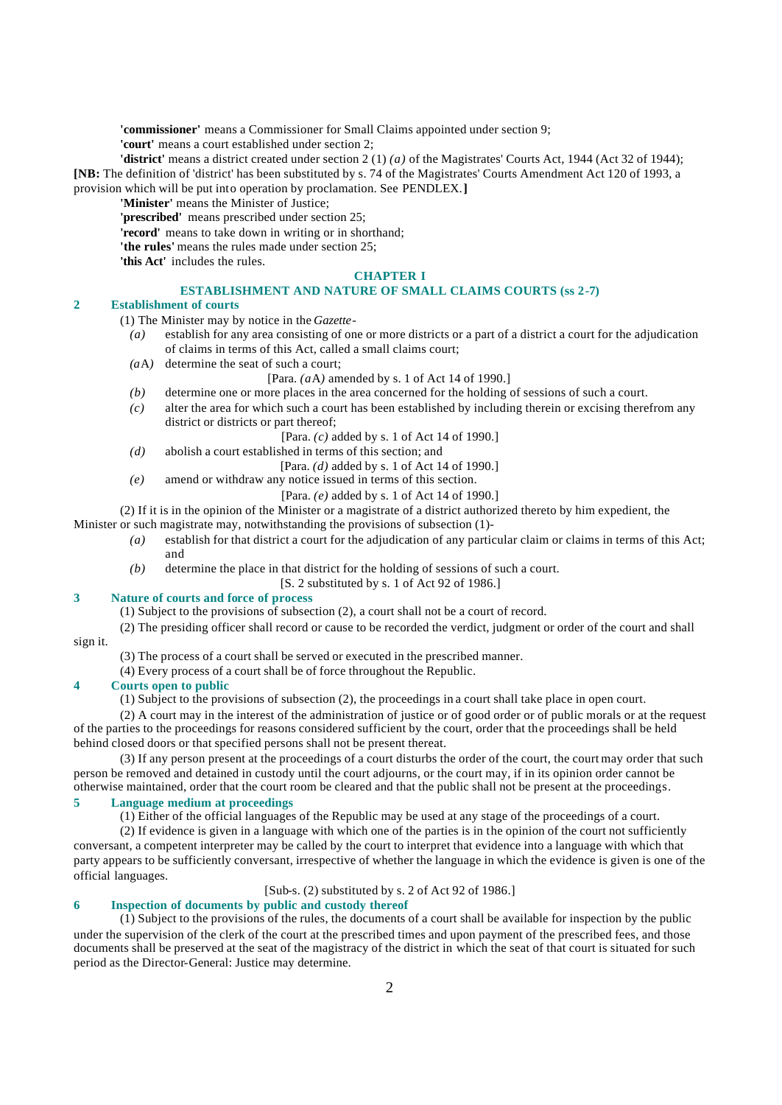**'commissioner'** means a Commissioner for Small Claims appointed under section 9;

**'court'** means a court established under section 2;

**'district'** means a district created under section 2 (1) *(a)* of the Magistrates' Courts Act, 1944 (Act 32 of 1944); **[NB:** The definition of 'district' has been substituted by s. 74 of the Magistrates' Courts Amendment Act 120 of 1993, a provision which will be put into operation by proclamation. See PENDLEX.**]**

**'Minister'** means the Minister of Justice;

**'prescribed'** means prescribed under section 25;

**'record'** means to take down in writing or in shorthand;

**'the rules'** means the rules made under section 25;

**'this Act'** includes the rules.

#### **CHAPTER I**

### **ESTABLISHMENT AND NATURE OF SMALL CLAIMS COURTS (ss 2-7)**

#### **2 Establishment of courts**

(1) The Minister may by notice in the *Gazette*-

- *(a)* establish for any area consisting of one or more districts or a part of a district a court for the adjudication of claims in terms of this Act, called a small claims court;
- *(a*A*)* determine the seat of such a court;

#### [Para. *(a*A*)* amended by s. 1 of Act 14 of 1990.]

- *(b)* determine one or more places in the area concerned for the holding of sessions of such a court.
- *(c)* alter the area for which such a court has been established by including therein or excising therefrom any district or districts or part thereof;
	- [Para. *(c)* added by s. 1 of Act 14 of 1990.]
- *(d)* abolish a court established in terms of this section; and

[Para. *(d)* added by s. 1 of Act 14 of 1990.]

- *(e)* amend or withdraw any notice issued in terms of this section.
	- [Para. *(e)* added by s. 1 of Act 14 of 1990.]

(2) If it is in the opinion of the Minister or a magistrate of a district authorized thereto by him expedient, the

Minister or such magistrate may, notwithstanding the provisions of subsection (1)-

- *(a)* establish for that district a court for the adjudication of any particular claim or claims in terms of this Act; and
- *(b)* determine the place in that district for the holding of sessions of such a court.

[S. 2 substituted by s. 1 of Act 92 of 1986.]

# **3 Nature of courts and force of process**

(1) Subject to the provisions of subsection (2), a court shall not be a court of record.

- (2) The presiding officer shall record or cause to be recorded the verdict, judgment or order of the court and shall sign it.
	- (3) The process of a court shall be served or executed in the prescribed manner.

(4) Every process of a court shall be of force throughout the Republic.

### **4 Courts open to public**

(1) Subject to the provisions of subsection (2), the proceedings in a court shall take place in open court.

(2) A court may in the interest of the administration of justice or of good order or of public morals or at the request of the parties to the proceedings for reasons considered sufficient by the court, order that the proceedings shall be held behind closed doors or that specified persons shall not be present thereat.

(3) If any person present at the proceedings of a court disturbs the order of the court, the court may order that such person be removed and detained in custody until the court adjourns, or the court may, if in its opinion order cannot be otherwise maintained, order that the court room be cleared and that the public shall not be present at the proceedings.

# **5 Language medium at proceedings**

(1) Either of the official languages of the Republic may be used at any stage of the proceedings of a court.

(2) If evidence is given in a language with which one of the parties is in the opinion of the court not sufficiently conversant, a competent interpreter may be called by the court to interpret that evidence into a language with which that party appears to be sufficiently conversant, irrespective of whether the language in which the evidence is given is one of the official languages.

[Sub-s. (2) substituted by s. 2 of Act 92 of 1986.]

# **6 Inspection of documents by public and custody thereof**

(1) Subject to the provisions of the rules, the documents of a court shall be available for inspection by the public under the supervision of the clerk of the court at the prescribed times and upon payment of the prescribed fees, and those documents shall be preserved at the seat of the magistracy of the district in which the seat of that court is situated for such period as the Director-General: Justice may determine.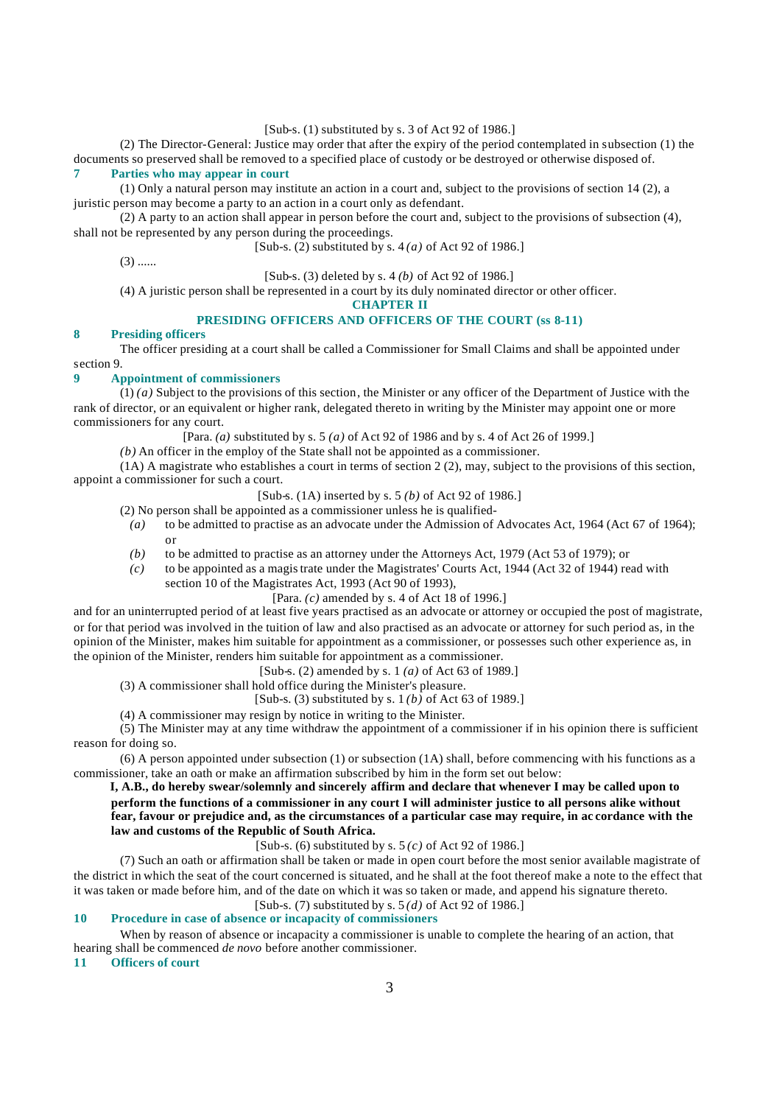[Sub-s. (1) substituted by s. 3 of Act 92 of 1986.]

(2) The Director-General: Justice may order that after the expiry of the period contemplated in subsection (1) the documents so preserved shall be removed to a specified place of custody or be destroyed or otherwise disposed of. **7 Parties who may appear in court**

(1) Only a natural person may institute an action in a court and, subject to the provisions of section 14 (2), a juristic person may become a party to an action in a court only as defendant.

(2) A party to an action shall appear in person before the court and, subject to the provisions of subsection (4), shall not be represented by any person during the proceedings.

[Sub-s. (2) substituted by s. 4 *(a)* of Act 92 of 1986.]

 $(3)$  ......

[Sub-s. (3) deleted by s. 4 *(b)* of Act 92 of 1986.]

(4) A juristic person shall be represented in a court by its duly nominated director or other officer.

**CHAPTER II**

# **PRESIDING OFFICERS AND OFFICERS OF THE COURT (ss 8-11)**

#### **8 Presiding officers**

The officer presiding at a court shall be called a Commissioner for Small Claims and shall be appointed under section 9.

#### **9 Appointment of commissioners**

(1) *(a)* Subject to the provisions of this section, the Minister or any officer of the Department of Justice with the rank of director, or an equivalent or higher rank, delegated thereto in writing by the Minister may appoint one or more commissioners for any court.

[Para. *(a)* substituted by s. 5 *(a)* of Act 92 of 1986 and by s. 4 of Act 26 of 1999.]

*(b)* An officer in the employ of the State shall not be appointed as a commissioner.

(1A) A magistrate who establishes a court in terms of section 2 (2), may, subject to the provisions of this section, appoint a commissioner for such a court.

[Sub-s. (1A) inserted by s. 5 *(b)* of Act 92 of 1986.]

- (2) No person shall be appointed as a commissioner unless he is qualified-
	- *(a)* to be admitted to practise as an advocate under the Admission of Advocates Act, 1964 (Act 67 of 1964); or
	- *(b)* to be admitted to practise as an attorney under the Attorneys Act, 1979 (Act 53 of 1979); or
- *(c)* to be appointed as a magistrate under the Magistrates' Courts Act, 1944 (Act 32 of 1944) read with section 10 of the Magistrates Act, 1993 (Act 90 of 1993),

[Para. *(c)* amended by s. 4 of Act 18 of 1996.]

and for an uninterrupted period of at least five years practised as an advocate or attorney or occupied the post of magistrate, or for that period was involved in the tuition of law and also practised as an advocate or attorney for such period as, in the opinion of the Minister, makes him suitable for appointment as a commissioner, or possesses such other experience as, in the opinion of the Minister, renders him suitable for appointment as a commissioner.

[Sub-s. (2) amended by s. 1 *(a)* of Act 63 of 1989.]

(3) A commissioner shall hold office during the Minister's pleasure.

[Sub-s. (3) substituted by s. 1 *(b)* of Act 63 of 1989.]

(4) A commissioner may resign by notice in writing to the Minister.

(5) The Minister may at any time withdraw the appointment of a commissioner if in his opinion there is sufficient reason for doing so.

(6) A person appointed under subsection (1) or subsection (1A) shall, before commencing with his functions as a commissioner, take an oath or make an affirmation subscribed by him in the form set out below:

**I, A.B., do hereby swear/solemnly and sincerely affirm and declare that whenever I may be called upon to perform the functions of a commissioner in any court I will administer justice to all persons alike without fear, favour or prejudice and, as the circumstances of a particular case may require, in ac cordance with the law and customs of the Republic of South Africa.**

[Sub-s. (6) substituted by s. 5 *(c)* of Act 92 of 1986.]

(7) Such an oath or affirmation shall be taken or made in open court before the most senior available magistrate of the district in which the seat of the court concerned is situated, and he shall at the foot thereof make a note to the effect that it was taken or made before him, and of the date on which it was so taken or made, and append his signature thereto. [Sub-s. (7) substituted by s. 5 *(d)* of Act 92 of 1986.]

#### **10 Procedure in case of absence or incapacity of commissioners**

When by reason of absence or incapacity a commissioner is unable to complete the hearing of an action, that hearing shall be commenced *de novo* before another commissioner.

**11 Officers of court**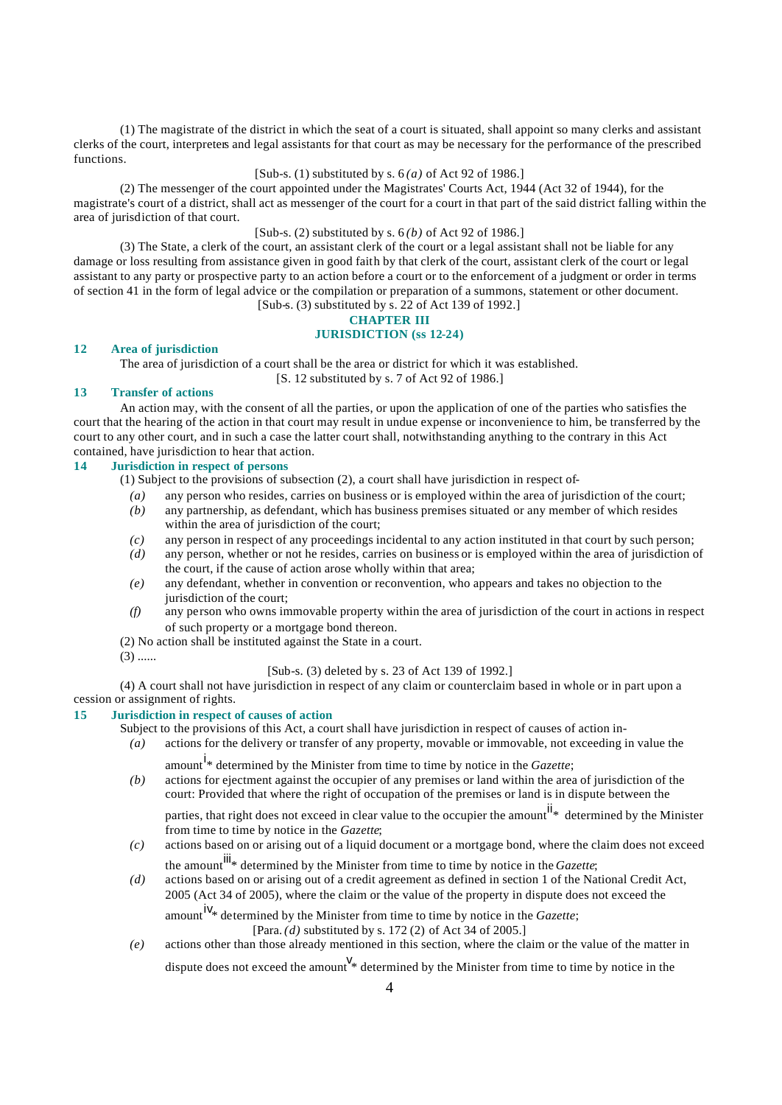(1) The magistrate of the district in which the seat of a court is situated, shall appoint so many clerks and assistant clerks of the court, interpreters and legal assistants for that court as may be necessary for the performance of the prescribed functions.

## [Sub-s. (1) substituted by s. 6 *(a)* of Act 92 of 1986.]

(2) The messenger of the court appointed under the Magistrates' Courts Act, 1944 (Act 32 of 1944), for the magistrate's court of a district, shall act as messenger of the court for a court in that part of the said district falling within the area of jurisdiction of that court.

# [Sub-s. (2) substituted by s. 6 *(b)* of Act 92 of 1986.]

(3) The State, a clerk of the court, an assistant clerk of the court or a legal assistant shall not be liable for any damage or loss resulting from assistance given in good faith by that clerk of the court, assistant clerk of the court or legal assistant to any party or prospective party to an action before a court or to the enforcement of a judgment or order in terms of section 41 in the form of legal advice or the compilation or preparation of a summons, statement or other document. [Sub-s. (3) substituted by s. 22 of Act 139 of 1992.]

# **CHAPTER III JURISDICTION (ss 12-24)**

#### **12 Area of jurisdiction**

The area of jurisdiction of a court shall be the area or district for which it was established. [S. 12 substituted by s. 7 of Act 92 of 1986.]

#### **13 Transfer of actions**

An action may, with the consent of all the parties, or upon the application of one of the parties who satisfies the court that the hearing of the action in that court may result in undue expense or inconvenience to him, be transferred by the court to any other court, and in such a case the latter court shall, notwithstanding anything to the contrary in this Act contained, have jurisdiction to hear that action.

# **14 Jurisdiction in respect of persons**

(1) Subject to the provisions of subsection (2), a court shall have jurisdiction in respect of-

- *(a)* any person who resides, carries on business or is employed within the area of jurisdiction of the court;
- *(b)* any partnership, as defendant, which has business premises situated or any member of which resides within the area of jurisdiction of the court;
- *(c)* any person in respect of any proceedings incidental to any action instituted in that court by such person;
- *(d)* any person, whether or not he resides, carries on business or is employed within the area of jurisdiction of the court, if the cause of action arose wholly within that area;
- *(e)* any defendant, whether in convention or reconvention, who appears and takes no objection to the jurisdiction of the court:
- *(f)* any person who owns immovable property within the area of jurisdiction of the court in actions in respect of such property or a mortgage bond thereon.
- (2) No action shall be instituted against the State in a court.
- $(3)$  ......

[Sub-s. (3) deleted by s. 23 of Act 139 of 1992.]

(4) A court shall not have jurisdiction in respect of any claim or counterclaim based in whole or in part upon a cession or assignment of rights.

# **15 Jurisdiction in respect of causes of action**

Subject to the provisions of this Act, a court shall have jurisdiction in respect of causes of action in-

- *(a)* actions for the delivery or transfer of any property, movable or immovable, not exceeding in value the amount <sup>i</sup>\* determined by the Minister from time to time by notice in the *Gazette*;
	-
- *(b)* actions for ejectment against the occupier of any premises or land within the area of jurisdiction of the court: Provided that where the right of occupation of the premises or land is in dispute between the

parties, that right does not exceed in clear value to the occupier the amount<sup>ii</sup>\* determined by the Minister from time to time by notice in the *Gazette*;

- *(c)* actions based on or arising out of a liquid document or a mortgage bond, where the claim does not exceed the amount<sup>iii</sup>\* determined by the Minister from time to time by notice in the *Gazette*;
- *(d)* actions based on or arising out of a credit agreement as defined in section 1 of the National Credit Act, 2005 (Act 34 of 2005), where the claim or the value of the property in dispute does not exceed the

amount<sup>iv<sub>\*</sub></sup> determined by the Minister from time to time by notice in the *Gazette*;

[Para. *(d)* substituted by s. 172 (2) of Act 34 of 2005.]

*(e)* actions other than those already mentioned in this section, where the claim or the value of the matter in

dispute does not exceed the amount  $\mathcal{V}_{*}$  determined by the Minister from time to time by notice in the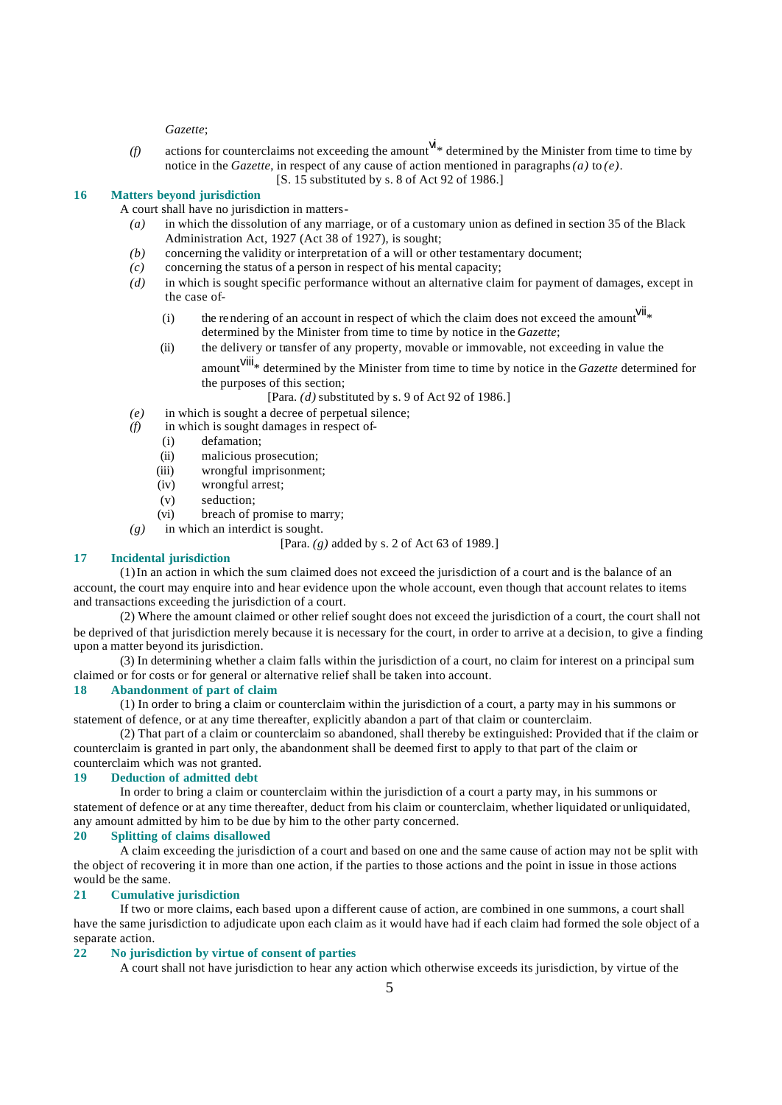*Gazette*;

(f) actions for counterclaims not exceeding the amount  $W^*$  determined by the Minister from time to time by notice in the *Gazette*, in respect of any cause of action mentioned in paragraphs *(a)* to *(e)*. [S. 15 substituted by s. 8 of Act 92 of 1986.]

#### **16 Matters beyond jurisdiction**

A court shall have no jurisdiction in matters-

- *(a)* in which the dissolution of any marriage, or of a customary union as defined in section 35 of the Black Administration Act, 1927 (Act 38 of 1927), is sought;
- *(b)* concerning the validity or interpretation of a will or other testamentary document;
- *(c)* concerning the status of a person in respect of his mental capacity;
- *(d)* in which is sought specific performance without an alternative claim for payment of damages, except in the case of-
	- (i) the rendering of an account in respect of which the claim does not exceed the amount  $V^{i|}$ determined by the Minister from time to time by notice in the *Gazette*;
	- (ii) the delivery or transfer of any property, movable or immovable, not exceeding in value the
		- amount<sup>VIII</sup>\* determined by the Minister from time to time by notice in the *Gazette* determined for the purposes of this section;

[Para. *(d)* substituted by s. 9 of Act 92 of 1986.]

- *(e)* in which is sought a decree of perpetual silence;
- *(f)* in which is sought damages in respect of-
	- (i) defamation;
	- (ii) malicious prosecution;
	- (iii) wrongful imprisonment;
	- (iv) wrongful arrest;
	- (v) seduction;
	- (vi) breach of promise to marry;
- *(g)* in which an interdict is sought.

# [Para. *(g)* added by s. 2 of Act 63 of 1989.]

# **17 Incidental jurisdiction**

(1) In an action in which the sum claimed does not exceed the jurisdiction of a court and is the balance of an account, the court may enquire into and hear evidence upon the whole account, even though that account relates to items and transactions exceeding the jurisdiction of a court.

(2) Where the amount claimed or other relief sought does not exceed the jurisdiction of a court, the court shall not be deprived of that jurisdiction merely because it is necessary for the court, in order to arrive at a decision, to give a finding upon a matter beyond its jurisdiction.

(3) In determining whether a claim falls within the jurisdiction of a court, no claim for interest on a principal sum claimed or for costs or for general or alternative relief shall be taken into account.

# **18 Abandonment of part of claim**

(1) In order to bring a claim or counterclaim within the jurisdiction of a court, a party may in his summons or statement of defence, or at any time thereafter, explicitly abandon a part of that claim or counterclaim.

(2) That part of a claim or counterclaim so abandoned, shall thereby be extinguished: Provided that if the claim or counterclaim is granted in part only, the abandonment shall be deemed first to apply to that part of the claim or counterclaim which was not granted.

#### **19 Deduction of admitted debt**

In order to bring a claim or counterclaim within the jurisdiction of a court a party may, in his summons or statement of defence or at any time thereafter, deduct from his claim or counterclaim, whether liquidated or unliquidated, any amount admitted by him to be due by him to the other party concerned.

#### **20 Splitting of claims disallowed**

A claim exceeding the jurisdiction of a court and based on one and the same cause of action may not be split with the object of recovering it in more than one action, if the parties to those actions and the point in issue in those actions would be the same.

#### **21 Cumulative jurisdiction**

If two or more claims, each based upon a different cause of action, are combined in one summons, a court shall have the same jurisdiction to adjudicate upon each claim as it would have had if each claim had formed the sole object of a separate action.

# **22 No jurisdiction by virtue of consent of parties**

A court shall not have jurisdiction to hear any action which otherwise exceeds its jurisdiction, by virtue of the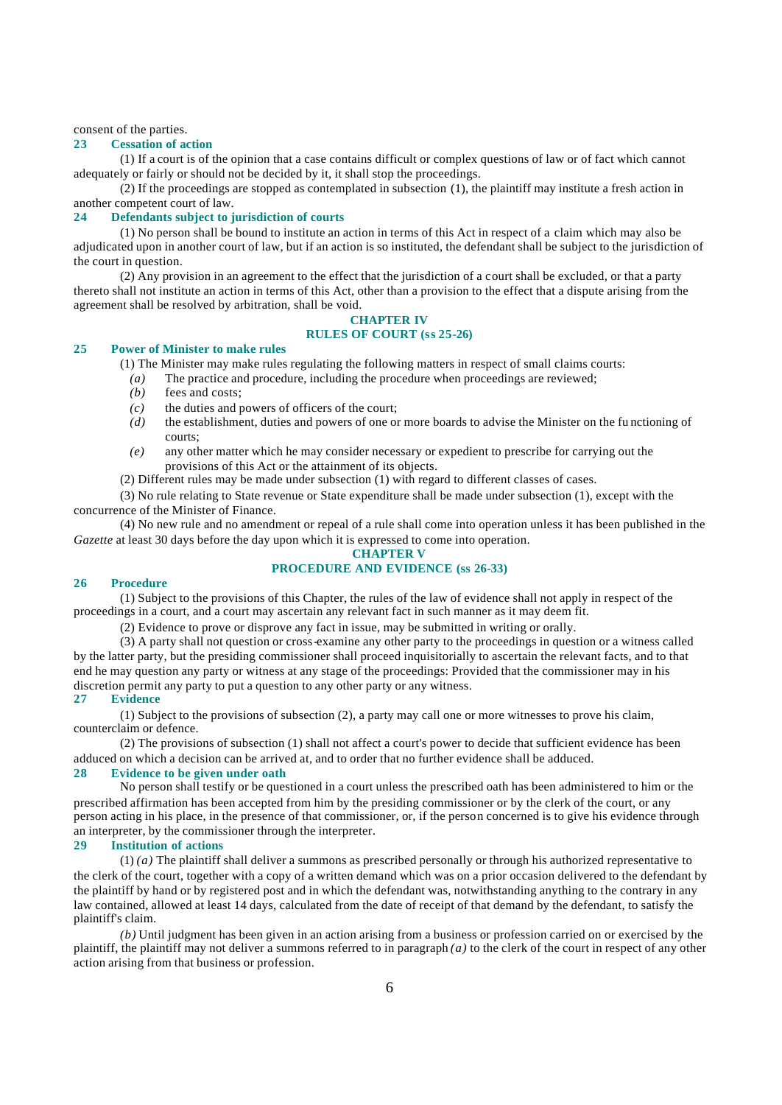consent of the parties.

#### **23 Cessation of action**

(1) If a court is of the opinion that a case contains difficult or complex questions of law or of fact which cannot adequately or fairly or should not be decided by it, it shall stop the proceedings.

(2) If the proceedings are stopped as contemplated in subsection (1), the plaintiff may institute a fresh action in another competent court of law.

### **24 Defendants subject to jurisdiction of courts**

(1) No person shall be bound to institute an action in terms of this Act in respect of a claim which may also be adjudicated upon in another court of law, but if an action is so instituted, the defendant shall be subject to the jurisdiction of the court in question.

(2) Any provision in an agreement to the effect that the jurisdiction of a court shall be excluded, or that a party thereto shall not institute an action in terms of this Act, other than a provision to the effect that a dispute arising from the agreement shall be resolved by arbitration, shall be void.

# **CHAPTER IV**

# **RULES OF COURT (ss 25-26)**

#### **25 Power of Minister to make rules**

(1) The Minister may make rules regulating the following matters in respect of small claims courts:

- *(a)* The practice and procedure, including the procedure when proceedings are reviewed;
- *(b)* fees and costs;
- *(c)* the duties and powers of officers of the court;
- *(d)* the establishment, duties and powers of one or more boards to advise the Minister on the fu nctioning of courts;
- *(e)* any other matter which he may consider necessary or expedient to prescribe for carrying out the provisions of this Act or the attainment of its objects.
- (2) Different rules may be made under subsection (1) with regard to different classes of cases.

(3) No rule relating to State revenue or State expenditure shall be made under subsection (1), except with the concurrence of the Minister of Finance.

(4) No new rule and no amendment or repeal of a rule shall come into operation unless it has been published in the *Gazette* at least 30 days before the day upon which it is expressed to come into operation.

#### **CHAPTER V PROCEDURE AND EVIDENCE (ss 26-33)**

#### **26 Procedure**

(1) Subject to the provisions of this Chapter, the rules of the law of evidence shall not apply in respect of the proceedings in a court, and a court may ascertain any relevant fact in such manner as it may deem fit.

(2) Evidence to prove or disprove any fact in issue, may be submitted in writing or orally.

(3) A party shall not question or cross-examine any other party to the proceedings in question or a witness called by the latter party, but the presiding commissioner shall proceed inquisitorially to ascertain the relevant facts, and to that end he may question any party or witness at any stage of the proceedings: Provided that the commissioner may in his discretion permit any party to put a question to any other party or any witness.

# **27 Evidence**

(1) Subject to the provisions of subsection (2), a party may call one or more witnesses to prove his claim, counterclaim or defence.

(2) The provisions of subsection (1) shall not affect a court's power to decide that sufficient evidence has been adduced on which a decision can be arrived at, and to order that no further evidence shall be adduced.

# **28 Evidence to be given under oath**

No person shall testify or be questioned in a court unless the prescribed oath has been administered to him or the prescribed affirmation has been accepted from him by the presiding commissioner or by the clerk of the court, or any person acting in his place, in the presence of that commissioner, or, if the person concerned is to give his evidence through an interpreter, by the commissioner through the interpreter.

#### **29 Institution of actions**

(1) *(a)* The plaintiff shall deliver a summons as prescribed personally or through his authorized representative to the clerk of the court, together with a copy of a written demand which was on a prior occasion delivered to the defendant by the plaintiff by hand or by registered post and in which the defendant was, notwithstanding anything to the contrary in any law contained, allowed at least 14 days, calculated from the date of receipt of that demand by the defendant, to satisfy the plaintiff's claim.

*(b)* Until judgment has been given in an action arising from a business or profession carried on or exercised by the plaintiff, the plaintiff may not deliver a summons referred to in paragraph *(a)* to the clerk of the court in respect of any other action arising from that business or profession.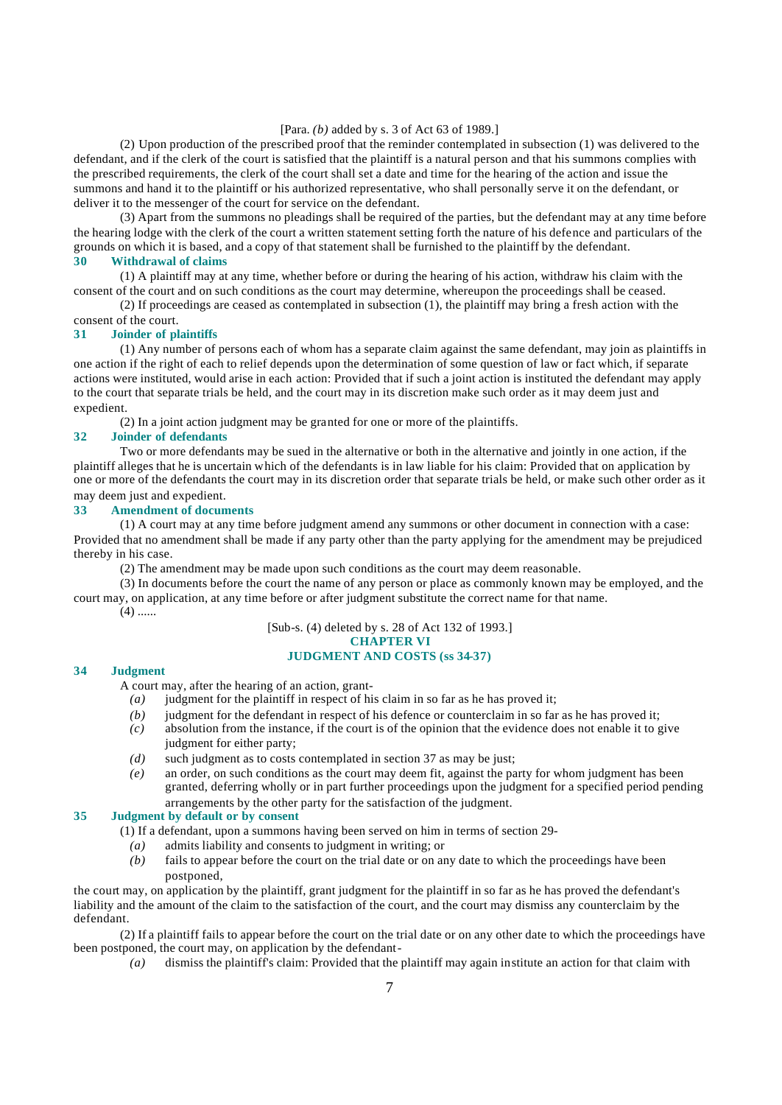#### [Para. *(b)* added by s. 3 of Act 63 of 1989.]

(2) Upon production of the prescribed proof that the reminder contemplated in subsection (1) was delivered to the defendant, and if the clerk of the court is satisfied that the plaintiff is a natural person and that his summons complies with the prescribed requirements, the clerk of the court shall set a date and time for the hearing of the action and issue the summons and hand it to the plaintiff or his authorized representative, who shall personally serve it on the defendant, or deliver it to the messenger of the court for service on the defendant.

(3) Apart from the summons no pleadings shall be required of the parties, but the defendant may at any time before the hearing lodge with the clerk of the court a written statement setting forth the nature of his defence and particulars of the grounds on which it is based, and a copy of that statement shall be furnished to the plaintiff by the defendant.

# **30 Withdrawal of claims**

(1) A plaintiff may at any time, whether before or during the hearing of his action, withdraw his claim with the consent of the court and on such conditions as the court may determine, whereupon the proceedings shall be ceased.

(2) If proceedings are ceased as contemplated in subsection (1), the plaintiff may bring a fresh action with the

consent of the court.

#### **31 Joinder of plaintiffs**

(1) Any number of persons each of whom has a separate claim against the same defendant, may join as plaintiffs in one action if the right of each to relief depends upon the determination of some question of law or fact which, if separate actions were instituted, would arise in each action: Provided that if such a joint action is instituted the defendant may apply to the court that separate trials be held, and the court may in its discretion make such order as it may deem just and expedient.

(2) In a joint action judgment may be granted for one or more of the plaintiffs.

# **32 Joinder of defendants**

Two or more defendants may be sued in the alternative or both in the alternative and jointly in one action, if the plaintiff alleges that he is uncertain which of the defendants is in law liable for his claim: Provided that on application by one or more of the defendants the court may in its discretion order that separate trials be held, or make such other order as it may deem just and expedient.

### **33 Amendment of documents**

(1) A court may at any time before judgment amend any summons or other document in connection with a case: Provided that no amendment shall be made if any party other than the party applying for the amendment may be prejudiced thereby in his case.

(2) The amendment may be made upon such conditions as the court may deem reasonable.

(3) In documents before the court the name of any person or place as commonly known may be employed, and the court may, on application, at any time before or after judgment substitute the correct name for that name.  $(4)$  ......

[Sub-s. (4) deleted by s. 28 of Act 132 of 1993.] **CHAPTER VI**

#### **JUDGMENT AND COSTS (ss 34-37)**

#### **34 Judgment**

A court may, after the hearing of an action, grant-

- *(a)* judgment for the plaintiff in respect of his claim in so far as he has proved it;
- *(b)* indement for the defendant in respect of his defence or counterclaim in so far as he has proved it;
- *(c)* absolution from the instance, if the court is of the opinion that the evidence does not enable it to give judgment for either party;
- *(d)* such judgment as to costs contemplated in section 37 as may be just;
- *(e)* an order, on such conditions as the court may deem fit, against the party for whom judgment has been granted, deferring wholly or in part further proceedings upon the judgment for a specified period pending arrangements by the other party for the satisfaction of the judgment.

#### **35 Judgment by default or by consent**

(1) If a defendant, upon a summons having been served on him in terms of section 29-

- *(a)* admits liability and consents to judgment in writing; or
- *(b)* fails to appear before the court on the trial date or on any date to which the proceedings have been postponed,

the court may, on application by the plaintiff, grant judgment for the plaintiff in so far as he has proved the defendant's liability and the amount of the claim to the satisfaction of the court, and the court may dismiss any counterclaim by the defendant.

(2) If a plaintiff fails to appear before the court on the trial date or on any other date to which the proceedings have been postponed, the court may, on application by the defendant-

*(a)* dismiss the plaintiff's claim: Provided that the plaintiff may again institute an action for that claim with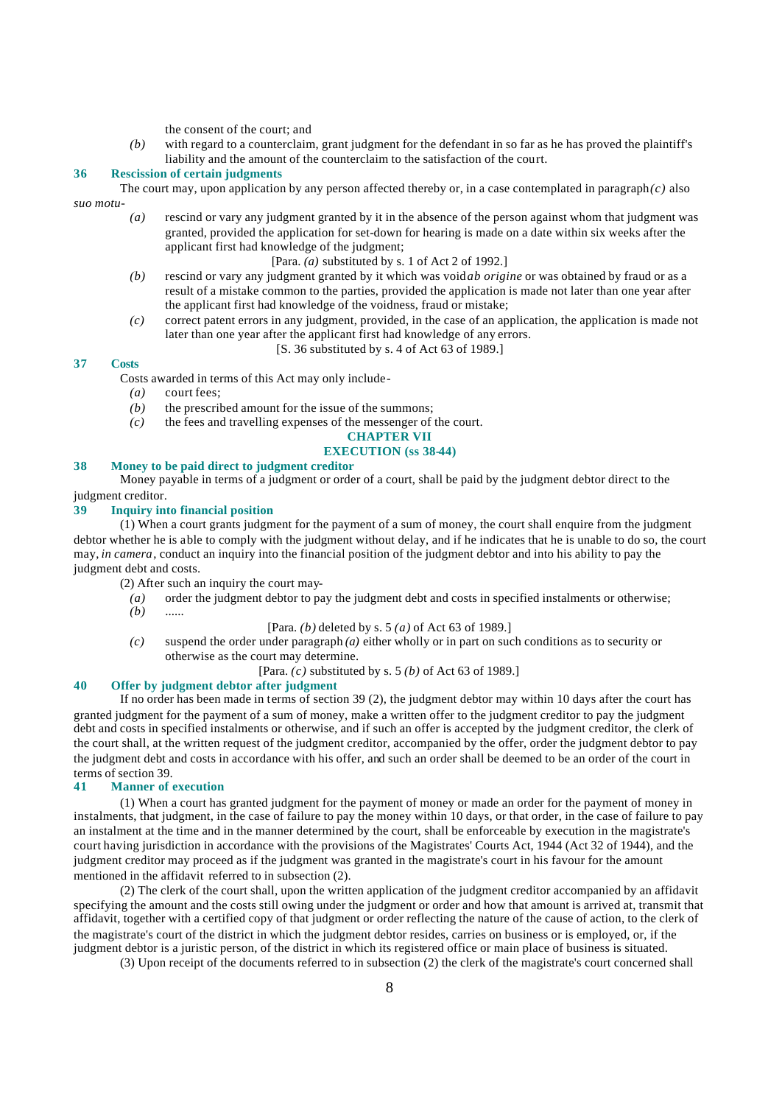the consent of the court; and

*(b)* with regard to a counterclaim, grant judgment for the defendant in so far as he has proved the plaintiff's liability and the amount of the counterclaim to the satisfaction of the court.

#### **36 Rescission of certain judgments**

The court may, upon application by any person affected thereby or, in a case contemplated in paragraph $(c)$  also *suo motu*-

*(a)* rescind or vary any judgment granted by it in the absence of the person against whom that judgment was granted, provided the application for set-down for hearing is made on a date within six weeks after the applicant first had knowledge of the judgment;

[Para. *(a)* substituted by s. 1 of Act 2 of 1992.]

- *(b)* rescind or vary any judgment granted by it which was void *ab origine* or was obtained by fraud or as a result of a mistake common to the parties, provided the application is made not later than one year after the applicant first had knowledge of the voidness, fraud or mistake;
- *(c)* correct patent errors in any judgment, provided, in the case of an application, the application is made not later than one year after the applicant first had knowledge of any errors.

#### [S. 36 substituted by s. 4 of Act 63 of 1989.]

#### **37 Costs**

Costs awarded in terms of this Act may only include-

- *(a)* court fees;
- *(b)* the prescribed amount for the issue of the summons;
- *(c)* the fees and travelling expenses of the messenger of the court.

# **CHAPTER VII**

# **EXECUTION (ss 38-44)**

# **38 Money to be paid direct to judgment creditor**

Money payable in terms of a judgment or order of a court, shall be paid by the judgment debtor direct to the judgment creditor.

# **39 Inquiry into financial position**

 $(1)$  When a court grants judgment for the payment of a sum of money, the court shall enquire from the judgment debtor whether he is able to comply with the judgment without delay, and if he indicates that he is unable to do so, the court may, *in camera*, conduct an inquiry into the financial position of the judgment debtor and into his ability to pay the judgment debt and costs.

(2) After such an inquiry the court may-

*(a)* order the judgment debtor to pay the judgment debt and costs in specified instalments or otherwise; *(b)* ......

#### [Para. *(b)* deleted by s. 5 *(a)* of Act 63 of 1989.]

*(c)* suspend the order under paragraph *(a)* either wholly or in part on such conditions as to security or otherwise as the court may determine.

#### [Para. *(c)* substituted by s. 5 *(b)* of Act 63 of 1989.]

### **40 Offer by judgment debtor after judgment**

If no order has been made in terms of section 39 (2), the judgment debtor may within 10 days after the court has granted judgment for the payment of a sum of money, make a written offer to the judgment creditor to pay the judgment debt and costs in specified instalments or otherwise, and if such an offer is accepted by the judgment creditor, the clerk of the court shall, at the written request of the judgment creditor, accompanied by the offer, order the judgment debtor to pay the judgment debt and costs in accordance with his offer, and such an order shall be deemed to be an order of the court in terms of section 39.

#### **41 Manner of execution**

(1) When a court has granted judgment for the payment of money or made an order for the payment of money in instalments, that judgment, in the case of failure to pay the money within 10 days, or that order, in the case of failure to pay an instalment at the time and in the manner determined by the court, shall be enforceable by execution in the magistrate's court having jurisdiction in accordance with the provisions of the Magistrates' Courts Act, 1944 (Act 32 of 1944), and the judgment creditor may proceed as if the judgment was granted in the magistrate's court in his favour for the amount mentioned in the affidavit referred to in subsection (2).

(2) The clerk of the court shall, upon the written application of the judgment creditor accompanied by an affidavit specifying the amount and the costs still owing under the judgment or order and how that amount is arrived at, transmit that affidavit, together with a certified copy of that judgment or order reflecting the nature of the cause of action, to the clerk of the magistrate's court of the district in which the judgment debtor resides, carries on business or is employed, or, if the judgment debtor is a juristic person, of the district in which its registered office or main place of business is situated.

(3) Upon receipt of the documents referred to in subsection (2) the clerk of the magistrate's court concerned shall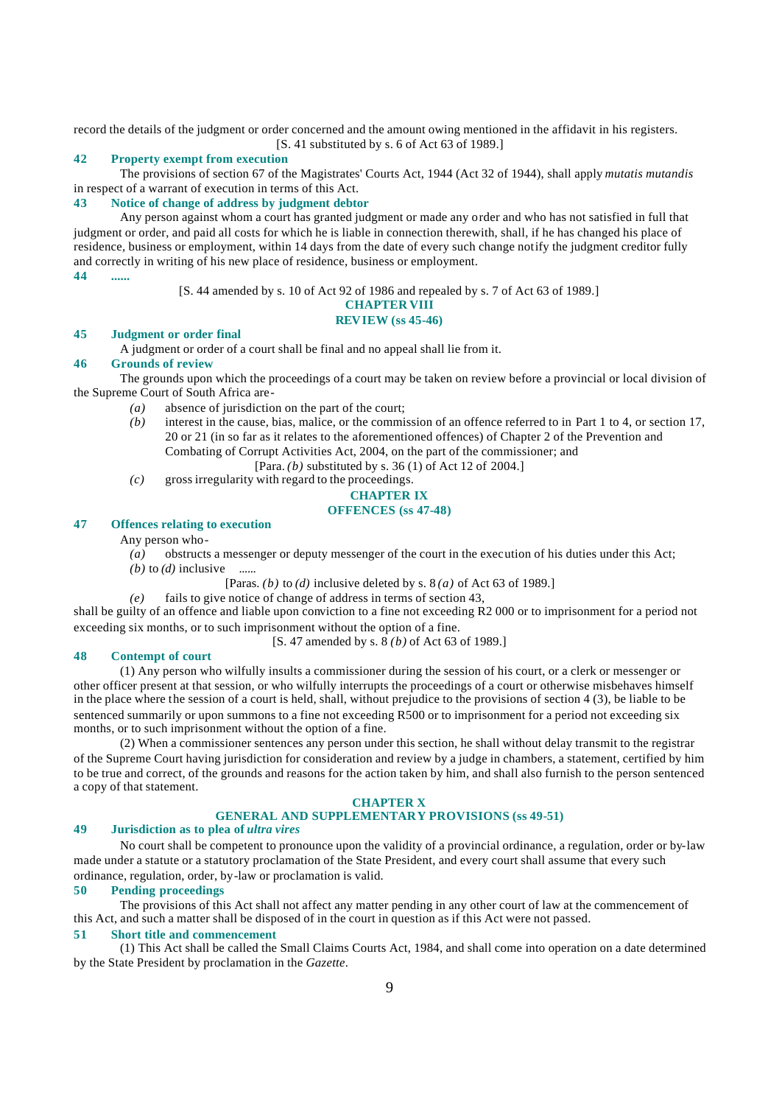record the details of the judgment or order concerned and the amount owing mentioned in the affidavit in his registers. [S. 41 substituted by s. 6 of Act 63 of 1989.]

#### **42 Property exempt from execution**

The provisions of section 67 of the Magistrates' Courts Act, 1944 (Act 32 of 1944), shall apply *mutatis mutandis* in respect of a warrant of execution in terms of this Act.

#### **43 Notice of change of address by judgment debtor**

Any person against whom a court has granted judgment or made any order and who has not satisfied in full that judgment or order, and paid all costs for which he is liable in connection therewith, shall, if he has changed his place of residence, business or employment, within 14 days from the date of every such change notify the judgment creditor fully and correctly in writing of his new place of residence, business or employment.

**44 ......**

[S. 44 amended by s. 10 of Act 92 of 1986 and repealed by s. 7 of Act 63 of 1989.]

#### **CHAPTER VIII**

#### **REVIEW (ss 45-46)**

#### **45 Judgment or order final**

A judgment or order of a court shall be final and no appeal shall lie from it.

#### **46 Grounds of review**

The grounds upon which the proceedings of a court may be taken on review before a provincial or local division of the Supreme Court of South Africa are-

- *(a)* absence of jurisdiction on the part of the court;
- *(b)* interest in the cause, bias, malice, or the commission of an offence referred to in Part 1 to 4, or section 17, 20 or 21 (in so far as it relates to the aforementioned offences) of Chapter 2 of the Prevention and Combating of Corrupt Activities Act, 2004, on the part of the commissioner; and
	- [Para. *(b)* substituted by s. 36 (1) of Act 12 of 2004.]
- *(c)* gross irregularity with regard to the proceedings.

# **CHAPTER IX**

# **OFFENCES (ss 47-48)**

# **47 Offences relating to execution**

Any person who-

- *(a)* obstructs a messenger or deputy messenger of the court in the execution of his duties under this Act;
- *(b)* to  $(d)$  inclusive ......

[Paras. *(b)* to *(d)* inclusive deleted by s. 8 *(a)* of Act 63 of 1989.]

*(e)* fails to give notice of change of address in terms of section 43,

shall be guilty of an offence and liable upon conviction to a fine not exceeding R2 000 or to imprisonment for a period not exceeding six months, or to such imprisonment without the option of a fine.

[S. 47 amended by s. 8 *(b)* of Act 63 of 1989.]

#### **48 Contempt of court**

(1) Any person who wilfully insults a commissioner during the session of his court, or a clerk or messenger or other officer present at that session, or who wilfully interrupts the proceedings of a court or otherwise misbehaves himself in the place where the session of a court is held, shall, without prejudice to the provisions of section 4 (3), be liable to be sentenced summarily or upon summons to a fine not exceeding R500 or to imprisonment for a period not exceeding six months, or to such imprisonment without the option of a fine.

(2) When a commissioner sentences any person under this section, he shall without delay transmit to the registrar of the Supreme Court having jurisdiction for consideration and review by a judge in chambers, a statement, certified by him to be true and correct, of the grounds and reasons for the action taken by him, and shall also furnish to the person sentenced a copy of that statement.

# **CHAPTER X**

# **GENERAL AND SUPPLEMENTARY PROVISIONS (ss 49-51)**

# **49 Jurisdiction as to plea of** *ultra vires*

No court shall be competent to pronounce upon the validity of a provincial ordinance, a regulation, order or by-law made under a statute or a statutory proclamation of the State President, and every court shall assume that every such ordinance, regulation, order, by-law or proclamation is valid.

#### **50 Pending proceedings**

The provisions of this Act shall not affect any matter pending in any other court of law at the commencement of this Act, and such a matter shall be disposed of in the court in question as if this Act were not passed.

#### **51 Short title and commencement**

(1) This Act shall be called the Small Claims Courts Act, 1984, and shall come into operation on a date determined by the State President by proclamation in the *Gazette*.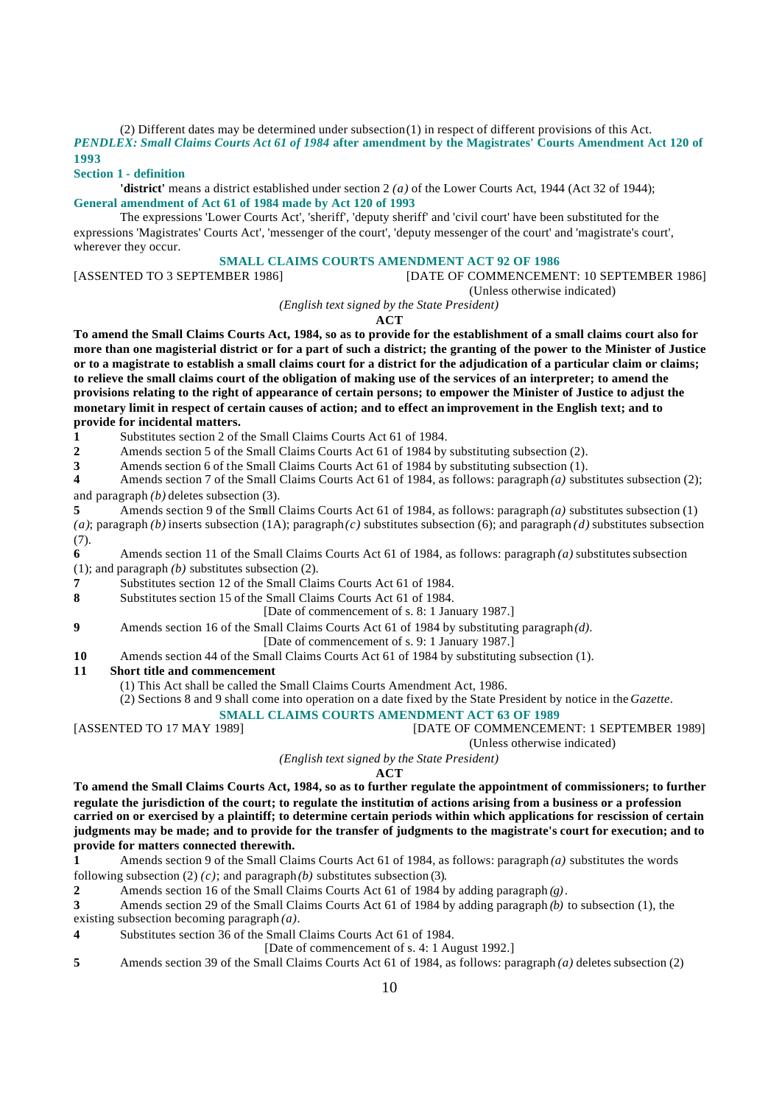(2) Different dates may be determined under subsection (1) in respect of different provisions of this Act. *PENDLEX: Small Claims Courts Act 61 of 1984* **after amendment by the Magistrates' Courts Amendment Act 120 of 1993**

#### **Section 1 - definition**

**'district'** means a district established under section 2 *(a)* of the Lower Courts Act, 1944 (Act 32 of 1944); **General amendment of Act 61 of 1984 made by Act 120 of 1993**

The expressions 'Lower Courts Act', 'sheriff', 'deputy sheriff' and 'civil court' have been substituted for the expressions 'Magistrates' Courts Act', 'messenger of the court', 'deputy messenger of the court' and 'magistrate's court', wherever they occur.

### **SMALL CLAIMS COURTS AMENDMENT ACT 92 OF 1986**

[ASSENTED TO 3 SEPTEMBER 1986] [DATE OF COMMENCEMENT: 10 SEPTEMBER 1986]

(Unless otherwise indicated)

*(English text signed by the State President)*

**ACT**

**To amend the Small Claims Courts Act, 1984, so as to provide for the establishment of a small claims court also for more than one magisterial district or for a part of such a district; the granting of the power to the Minister of Justice or to a magistrate to establish a small claims court for a district for the adjudication of a particular claim or claims; to relieve the small claims court of the obligation of making use of the services of an interpreter; to amend the provisions relating to the right of appearance of certain persons; to empower the Minister of Justice to adjust the monetary limit in respect of certain causes of action; and to effect an improvement in the English text; and to provide for incidental matters.**

**1** Substitutes section 2 of the Small Claims Courts Act 61 of 1984.

**2** Amends section 5 of the Small Claims Courts Act 61 of 1984 by substituting subsection (2).<br>**3** Amends section 6 of the Small Claims Courts Act 61 of 1984 by substituting subsection (1).

**3** Amends section 6 of the Small Claims Courts Act 61 of 1984 by substituting subsection (1).<br>**4** Amends section 7 of the Small Claims Courts Act 61 of 1984, as follows: paragraph (*a*) subs

**4** Amends section 7 of the Small Claims Courts Act 61 of 1984, as follows: paragraph *(a)* substitutes subsection (2); and paragraph *(b)* deletes subsection (3).

**5** Amends section 9 of the Small Claims Courts Act 61 of 1984, as follows: paragraph *(a)* substitutes subsection (1) (a); paragraph (b) inserts subsection (1A); paragraph(c) substitutes subsection (6); and paragraph *(d)* substitutes subsection (7).

**6** Amends section 11 of the Small Claims Courts Act 61 of 1984, as follows: paragraph *(a)* substitutes subsection (1); and paragraph *(b)* substitutes subsection (2).

**7** Substitutes section 12 of the Small Claims Courts Act 61 of 1984.

**8** Substitutes section 15 of the Small Claims Courts Act 61 of 1984.

[Date of commencement of s. 8: 1 January 1987.]

**9** Amends section 16 of the Small Claims Courts Act 61 of 1984 by substituting paragraph *(d)*.

- [Date of commencement of s. 9: 1 January 1987.]
- **10** Amends section 44 of the Small Claims Courts Act 61 of 1984 by substituting subsection (1).

#### **11 Short title and commencement**

(1) This Act shall be called the Small Claims Courts Amendment Act, 1986.

(2) Sections 8 and 9 shall come into operation on a date fixed by the State President by notice in the *Gazette*.

**SMALL CLAIMS COURTS AMENDMENT ACT 63 OF 1989**<br>[DATE OF COMMENCEM] [DATE OF COMMENCEMENT: 1 SEPTEMBER 1989]

(Unless otherwise indicated)

*(English text signed by the State President)*

# **ACT**

**To amend the Small Claims Courts Act, 1984, so as to further regulate the appointment of commissioners; to further regulate the jurisdiction of the court; to regulate the institution of actions arising from a business or a profession carried on or exercised by a plaintiff; to determine certain periods within which applications for rescission of certain judgments may be made; and to provide for the transfer of judgments to the magistrate's court for execution; and to provide for matters connected therewith.**

**1** Amends section 9 of the Small Claims Courts Act 61 of 1984, as follows: paragraph *(a)* substitutes the words following subsection (2)  $(c)$ ; and paragraph  $(b)$  substitutes subsection (3).

**2** Amends section 16 of the Small Claims Courts Act 61 of 1984 by adding paragraph *(g)*.

**3** Amends section 29 of the Small Claims Courts Act 61 of 1984 by adding paragraph *(b)* to subsection (1), the

existing subsection becoming paragraph *(a)*.

**4** Substitutes section 36 of the Small Claims Courts Act 61 of 1984.

[Date of commencement of s. 4: 1 August 1992.]

**5** Amends section 39 of the Small Claims Courts Act 61 of 1984, as follows: paragraph *(a)* deletes subsection (2)